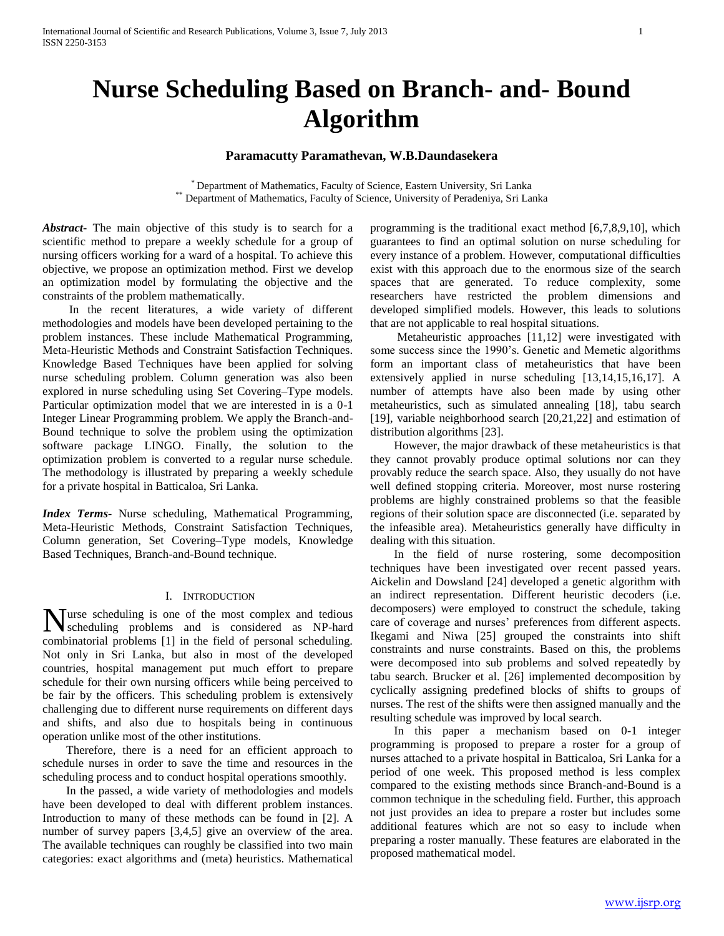# **Nurse Scheduling Based on Branch- and- Bound Algorithm**

# **Paramacutty Paramathevan, W.B.Daundasekera**

\* Department of Mathematics, Faculty of Science, Eastern University, Sri Lanka \*\* Department of Mathematics, Faculty of Science, University of Peradeniya, Sri Lanka

*Abstract***-** The main objective of this study is to search for a scientific method to prepare a weekly schedule for a group of nursing officers working for a ward of a hospital. To achieve this objective, we propose an optimization method. First we develop an optimization model by formulating the objective and the constraints of the problem mathematically.

 In the recent literatures, a wide variety of different methodologies and models have been developed pertaining to the problem instances. These include Mathematical Programming, Meta-Heuristic Methods and Constraint Satisfaction Techniques. Knowledge Based Techniques have been applied for solving nurse scheduling problem. Column generation was also been explored in nurse scheduling using Set Covering–Type models. Particular optimization model that we are interested in is a 0-1 Integer Linear Programming problem. We apply the Branch-and-Bound technique to solve the problem using the optimization software package LINGO. Finally, the solution to the optimization problem is converted to a regular nurse schedule. The methodology is illustrated by preparing a weekly schedule for a private hospital in Batticaloa, Sri Lanka.

*Index Terms*- Nurse scheduling, Mathematical Programming, Meta-Heuristic Methods, Constraint Satisfaction Techniques, Column generation, Set Covering–Type models, Knowledge Based Techniques, Branch-and-Bound technique.

#### I. INTRODUCTION

urse scheduling is one of the most complex and tedious Nurse scheduling is one of the most complex and tedious scheduling problems and is considered as NP-hard combinatorial problems [1] in the field of personal scheduling. Not only in Sri Lanka, but also in most of the developed countries, hospital management put much effort to prepare schedule for their own nursing officers while being perceived to be fair by the officers. This scheduling problem is extensively challenging due to different nurse requirements on different days and shifts, and also due to hospitals being in continuous operation unlike most of the other institutions.

 Therefore, there is a need for an efficient approach to schedule nurses in order to save the time and resources in the scheduling process and to conduct hospital operations smoothly.

 In the passed, a wide variety of methodologies and models have been developed to deal with different problem instances. Introduction to many of these methods can be found in [2]. A number of survey papers [3,4,5] give an overview of the area. The available techniques can roughly be classified into two main categories: exact algorithms and (meta) heuristics. Mathematical

programming is the traditional exact method [6,7,8,9,10], which guarantees to find an optimal solution on nurse scheduling for every instance of a problem. However, computational difficulties exist with this approach due to the enormous size of the search spaces that are generated. To reduce complexity, some researchers have restricted the problem dimensions and developed simplified models. However, this leads to solutions that are not applicable to real hospital situations.

 Metaheuristic approaches [11,12] were investigated with some success since the 1990's. Genetic and Memetic algorithms form an important class of metaheuristics that have been extensively applied in nurse scheduling [13,14,15,16,17]. A number of attempts have also been made by using other metaheuristics, such as simulated annealing [18], tabu search [19], variable neighborhood search [20,21,22] and estimation of distribution algorithms [23].

 However, the major drawback of these metaheuristics is that they cannot provably produce optimal solutions nor can they provably reduce the search space. Also, they usually do not have well defined stopping criteria. Moreover, most nurse rostering problems are highly constrained problems so that the feasible regions of their solution space are disconnected (i.e. separated by the infeasible area). Metaheuristics generally have difficulty in dealing with this situation.

 In the field of nurse rostering, some decomposition techniques have been investigated over recent passed years. Aickelin and Dowsland [24] developed a genetic algorithm with an indirect representation. Different heuristic decoders (i.e. decomposers) were employed to construct the schedule, taking care of coverage and nurses' preferences from different aspects. Ikegami and Niwa [25] grouped the constraints into shift constraints and nurse constraints. Based on this, the problems were decomposed into sub problems and solved repeatedly by tabu search. Brucker et al. [26] implemented decomposition by cyclically assigning predefined blocks of shifts to groups of nurses. The rest of the shifts were then assigned manually and the resulting schedule was improved by local search.

 In this paper a mechanism based on 0-1 integer programming is proposed to prepare a roster for a group of nurses attached to a private hospital in Batticaloa, Sri Lanka for a period of one week. This proposed method is less complex compared to the existing methods since Branch-and-Bound is a common technique in the scheduling field. Further, this approach not just provides an idea to prepare a roster but includes some additional features which are not so easy to include when preparing a roster manually. These features are elaborated in the proposed mathematical model.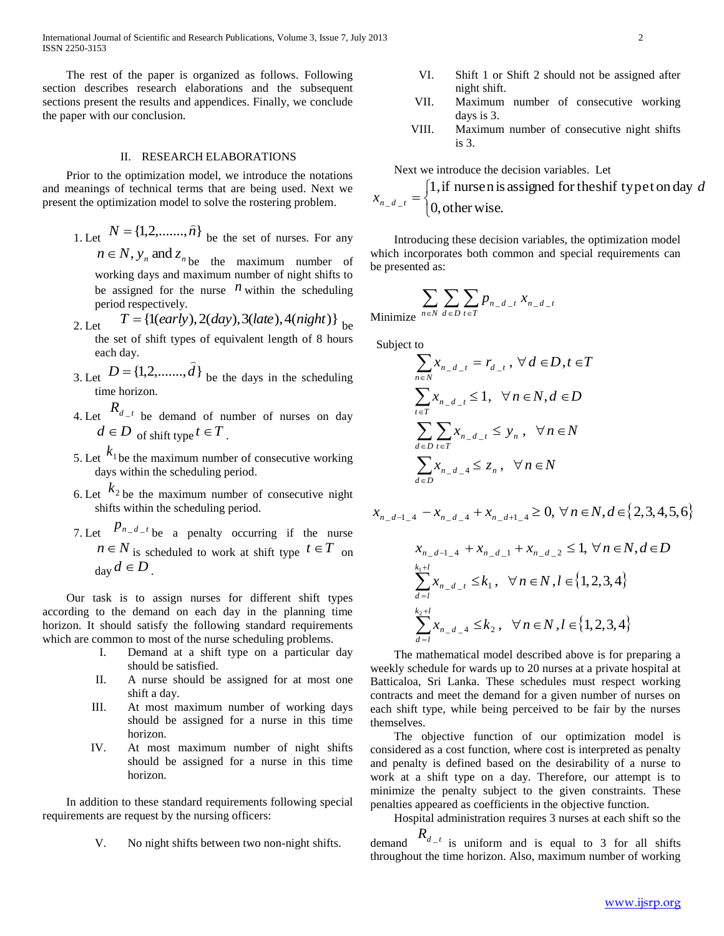International Journal of Scientific and Research Publications, Volume 3, Issue 7, July 2013 2 ISSN 2250-3153

 The rest of the paper is organized as follows. Following section describes research elaborations and the subsequent sections present the results and appendices. Finally, we conclude the paper with our conclusion.

## II. RESEARCH ELABORATIONS

 Prior to the optimization model, we introduce the notations and meanings of technical terms that are being used. Next we present the optimization model to solve the rostering problem.

1. Let  $N = \{1, 2, \ldots, \hat{n}\}$  be the set of nurses. For any

 $n \in N$ ,  $y_n$  and  $z_n$  be the maximum number of working days and maximum number of night shifts to be assigned for the nurse  $\overrightarrow{n}$  within the scheduling period respectively.

- 2. Let  $T = \{1(early), 2(day), 3(late), 4(night)\}\,$ <sub>be</sub> the set of shift types of equivalent length of 8 hours each day.  $\overline{a}$
- 3. Let  $D = \{1,2, \ldots, d\}$  $= \{1, 2, \ldots, d\}$  be the days in the scheduling time horizon.
- 4. Let  $R_{d-t}$  be demand of number of nurses on day  $d \in D$  of shift type  $t \in T$ .
- 5. Let  $k_1$  be the maximum number of consecutive working days within the scheduling period.
- 6. Let  $k_2$  be the maximum number of consecutive night shifts within the scheduling period.
- 7. Let  $P_{n-d-1}$  be a penalty occurring if the nurse  $n \in N$  is scheduled to work at shift type  $t \in T$  on  $_{\text{day}}d \in D$ .

 Our task is to assign nurses for different shift types according to the demand on each day in the planning time horizon. It should satisfy the following standard requirements which are common to most of the nurse scheduling problems.

- I. Demand at a shift type on a particular day should be satisfied.
- II. A nurse should be assigned for at most one shift a day.
- III. At most maximum number of working days should be assigned for a nurse in this time horizon.
- IV. At most maximum number of night shifts should be assigned for a nurse in this time horizon.

 In addition to these standard requirements following special requirements are request by the nursing officers:

V. No night shifts between two non-night shifts.

- VI. Shift 1 or Shift 2 should not be assigned after night shift.
- VII. Maximum number of consecutive working days is 3.
- VIII. Maximum number of consecutive night shifts is 3.

Next we introduce the decision variables. Let

 $\mathbf{I}$ ┤  $=\left\{$ 0, other wise. 1,if nursen is assigned fortheshif typet on day  $-d$ *d*  $x_{n_d t}$ 

 Introducing these decision variables, the optimization model which incorporates both common and special requirements can be presented as:

$$
\sum_{n \in \mathbb{N}} \sum_{d \in D} \sum_{t \in T} p_{n_d-t} x_{n_d-t}
$$
 Minimize

Subject to

$$
\sum_{n \in N} x_{n_d} = r_{d_i}, \forall d \in D, t \in T
$$
  

$$
\sum_{t \in T} x_{n_d} \le 1, \forall n \in N, d \in D
$$
  

$$
\sum_{d \in D} \sum_{t \in T} x_{n_d} \le y_n, \forall n \in N
$$
  

$$
\sum_{d \in D} x_{n_d} \le z_n, \forall n \in N
$$

$$
x_{n_{-d-1-4}} - x_{n_{-d-4}} + x_{n_{-d+1-4}} \ge 0, \forall n \in N, d \in \{2, 3, 4, 5, 6\}
$$
  

$$
x_{n_{-d-1-4}} + x_{n_{-d-1}} + x_{n_{-d-2}} \le 1, \forall n \in N, d \in D
$$
  

$$
\sum_{d=1}^{k_{1}+l} x_{n_{-d-1}} \le k_{1}, \forall n \in N, l \in \{1, 2, 3, 4\}
$$
  

$$
\sum_{d=1}^{k_{2}+l} x_{n_{-d-4}} \le k_{2}, \forall n \in N, l \in \{1, 2, 3, 4\}
$$

 The mathematical model described above is for preparing a weekly schedule for wards up to 20 nurses at a private hospital at Batticaloa, Sri Lanka. These schedules must respect working contracts and meet the demand for a given number of nurses on each shift type, while being perceived to be fair by the nurses themselves.

 The objective function of our optimization model is considered as a cost function, where cost is interpreted as penalty and penalty is defined based on the desirability of a nurse to work at a shift type on a day. Therefore, our attempt is to minimize the penalty subject to the given constraints. These penalties appeared as coefficients in the objective function.

 Hospital administration requires 3 nurses at each shift so the demand  $R_{d-t}$  is uniform and is equal to 3 for all shifts throughout the time horizon. Also, maximum number of working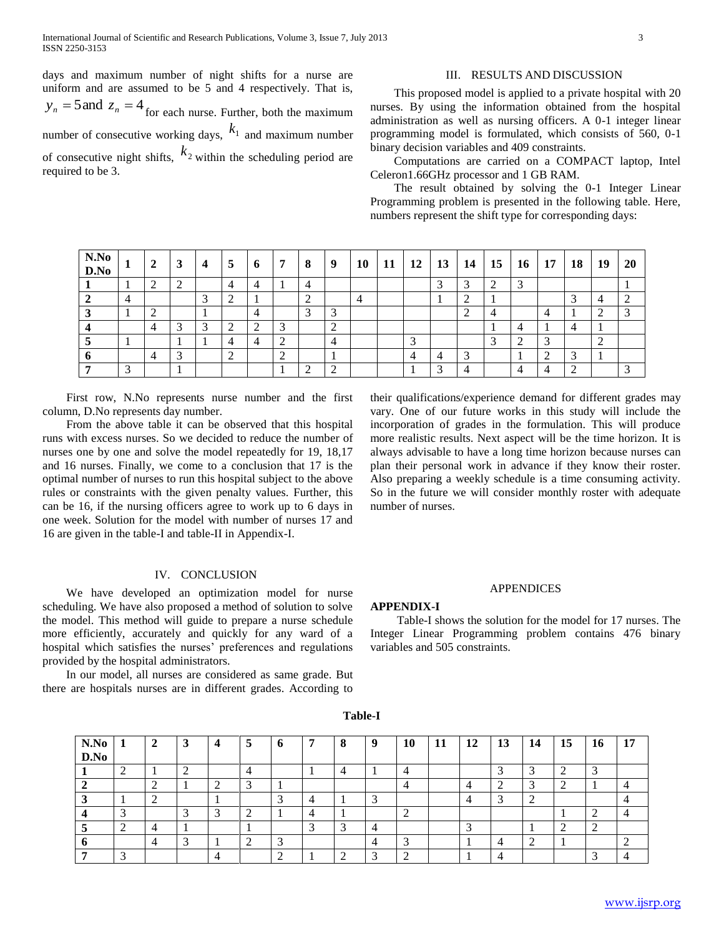days and maximum number of night shifts for a nurse are uniform and are assumed to be 5 and 4 respectively. That is,  $y_n = 5$  and  $z_n = 4$  for each nurse. Further, both the maximum number of consecutive working days,  $k_1$  and maximum number of consecutive night shifts,  $k_2$  within the scheduling period are required to be 3.

# III. RESULTS AND DISCUSSION

 This proposed model is applied to a private hospital with 20 nurses. By using the information obtained from the hospital administration as well as nursing officers. A 0-1 integer linear programming model is formulated, which consists of 560, 0-1 binary decision variables and 409 constraints.

 Computations are carried on a COMPACT laptop, Intel Celeron1.66GHz processor and 1 GB RAM.

 The result obtained by solving the 0-1 Integer Linear Programming problem is presented in the following table. Here, numbers represent the shift type for corresponding days:

| N.No<br>D.No |               | 2      | 3 | $\overline{4}$ | 5      | -6 | 7 | 8      | 9                                  | 10 | 11 | 12 | 13 | 14 | $\vert$ 15 | <b>16</b> | 17 | 18 | <b>19</b> | <b>20</b> |
|--------------|---------------|--------|---|----------------|--------|----|---|--------|------------------------------------|----|----|----|----|----|------------|-----------|----|----|-----------|-----------|
|              |               | ◠      |   |                |        |    |   | 4      |                                    |    |    |    |    |    | ◠          | ◠         |    |    |           |           |
|              | 4             |        |   | $\rightarrow$  | ∍<br>∠ |    |   | 2      |                                    |    |    |    |    | ◠  |            |           |    | ⌒  |           | ◠         |
|              |               | ◠<br>∠ |   |                |        | 4  |   | $\sim$ | 3                                  |    |    |    |    | ◠  | 4          |           | 4  |    |           | ⌒         |
|              |               | 4      |   |                | ↑<br>∠ | ◠  |   |        | $\sim$<br>$\overline{\phantom{a}}$ |    |    |    |    |    |            |           |    |    |           |           |
|              |               |        |   |                | 4      |    | ⌒ |        | $\overline{4}$                     |    |    |    |    |    | $\sim$     | ◠<br>∠    | ⌒  |    | $\sim$    |           |
|              |               |        |   |                | ◠<br>∠ |    |   |        |                                    |    |    | 4  |    |    |            |           | ◠  |    |           |           |
|              | $\mathcal{L}$ |        |   |                |        |    |   | ◠<br>∼ | ◠<br>∠                             |    |    |    |    |    |            |           |    |    |           |           |

 First row, N.No represents nurse number and the first column, D.No represents day number.

 From the above table it can be observed that this hospital runs with excess nurses. So we decided to reduce the number of nurses one by one and solve the model repeatedly for 19, 18,17 and 16 nurses. Finally, we come to a conclusion that 17 is the optimal number of nurses to run this hospital subject to the above rules or constraints with the given penalty values. Further, this can be 16, if the nursing officers agree to work up to 6 days in one week. Solution for the model with number of nurses 17 and 16 are given in the table-I and table-II in Appendix-I.

## IV. CONCLUSION

 We have developed an optimization model for nurse scheduling. We have also proposed a method of solution to solve the model. This method will guide to prepare a nurse schedule more efficiently, accurately and quickly for any ward of a hospital which satisfies the nurses' preferences and regulations provided by the hospital administrators.

 In our model, all nurses are considered as same grade. But there are hospitals nurses are in different grades. According to their qualifications/experience demand for different grades may vary. One of our future works in this study will include the incorporation of grades in the formulation. This will produce more realistic results. Next aspect will be the time horizon. It is always advisable to have a long time horizon because nurses can plan their personal work in advance if they know their roster. Also preparing a weekly schedule is a time consuming activity. So in the future we will consider monthly roster with adequate number of nurses.

#### APPENDICES

#### **APPENDIX-I**

 Table-I shows the solution for the model for 17 nurses. The Integer Linear Programming problem contains 476 binary variables and 505 constraints.

| N.No<br>D.No | -1     | $\mathbf{2}$ | 3      | $\overline{\mathbf{4}}$ | 5      | 6                        | $\overline{7}$ | 8          | 9 | 10 | 11 | 12 | 13 | -14 | 15 | 16 | 17 |
|--------------|--------|--------------|--------|-------------------------|--------|--------------------------|----------------|------------|---|----|----|----|----|-----|----|----|----|
|              | $\sim$ |              | ◠      |                         |        |                          |                |            |   |    |    |    |    | ⌒   |    |    |    |
|              |        | ◠            |        | ∍<br>∠                  | 2      |                          |                |            |   |    |    |    |    | ⌒   |    |    |    |
|              |        | ◠            |        |                         |        | $\sim$                   |                |            | ⌒ |    |    |    |    |     |    |    |    |
|              |        |              | $\sim$ | 3                       | ി<br>∠ |                          |                |            |   | ∸  |    |    |    |     |    |    |    |
|              |        |              |        |                         |        |                          |                | $\sqrt{2}$ |   |    |    |    |    |     |    |    |    |
|              |        |              | 2      |                         | ◠<br>∠ | $\overline{\phantom{a}}$ |                |            |   |    |    |    |    |     |    |    |    |
|              |        |              |        |                         |        | ◠                        |                | ി          | ⌒ |    |    |    |    |     |    |    |    |

**Table-I**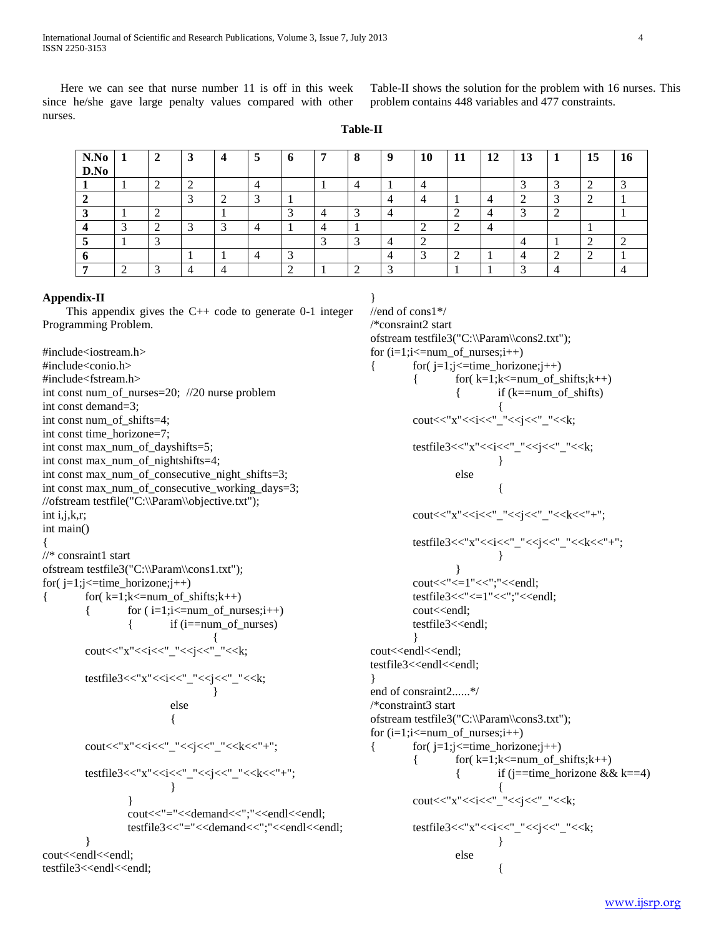Here we can see that nurse number 11 is off in this week since he/she gave large penalty values compared with other nurses.

Table-II shows the solution for the problem with 16 nurses. This problem contains 448 variables and 477 constraints.

**Table-II**

| N.No<br>D.No | 1 | $\mathbf{2}$             | 3 | 4 | 5 | Ð | 7 | 8 | 9 | 10 | 11 | 12 | 13 | - 1 | 15 | 16 |
|--------------|---|--------------------------|---|---|---|---|---|---|---|----|----|----|----|-----|----|----|
|              |   |                          |   |   |   |   |   |   |   |    |    |    |    |     |    |    |
|              |   |                          |   |   | ⌒ |   |   |   |   |    |    |    |    |     |    |    |
|              |   |                          |   |   |   |   |   |   |   |    |    |    | ⌒  |     |    |    |
|              |   |                          |   | ⌒ |   |   |   |   |   |    | ◠  |    |    |     |    |    |
|              |   |                          |   |   |   |   |   | ◠ |   |    |    |    |    |     |    |    |
|              |   |                          |   |   |   |   |   |   |   | ╭  |    |    |    |     |    |    |
|              |   | $\overline{\phantom{0}}$ |   |   |   |   |   |   |   |    |    |    | ◠  |     |    |    |

#### **Appendix-II**

This appendix gives the  $C++$  code to generate 0-1 integer Programming Problem.

#include<iostream.h> #include<conio.h> #include<fstream.h> int const num\_of\_nurses=20; //20 nurse problem int const demand=3; int const num\_of\_shifts=4; int const time\_horizone=7; int const max\_num\_of\_dayshifts=5; int const max\_num\_of\_nightshifts=4; int const max\_num\_of\_consecutive\_night\_shifts=3; int const max\_num\_of\_consecutive\_working\_days=3; //ofstream testfile("C:\\Param\\objective.txt"); int i,j,k,r; int main() { //\* consraint1 start ofstream testfile3("C:\\Param\\cons1.txt"); for $(j=1;j\leq$ time\_horizone; $j++$ ) {  $for(k=1;k<=num_of\_shifts;k++)$  ${ for (i=1;i<=num_of_nurses;i++) }$ {  $\qquad$  if (i==num\_of\_nurses) { cout<<"x"<<i<<''\_"<<i<<''\_"<<k; testfile3<<"x"<<i<<'\_"<<i<<'\_"<<<k; } else { cout<<"x"<<i<<"\_"<<j<<"\_"<<k<<"+"; testfile3<<"x"<<i<<'\_"<<<i<<'\_"<<<<</><<'\_"<<<<<</><<'\_"<<<<<<'-'"; } } cout<<"="<<demand<<";"<<endl<<endl; testfile3<<"="<<demand<<";"<<endl<<endl; } cout<<endl<<endl: testfile3<<endl<<endl;

} //end of cons1\*/ /\*consraint2 start ofstream testfile3("C:\\Param\\cons2.txt"); for  $(i=1;i=num_of_nurses;i++)$ {  $f(x) = 1$ ;  $j \leq$  time\_horizone;  $j +$ {  $f(x=1); k<=num_of_shits; k++)$ { if  $(k == num of shifts)$ { cout<<"x"<<i<<'\_"<<<i<<'\_"<<<i</ testfile3<<"x"<<i<<'\_"<<i<<'\_"<<<i<</><'\_"<<<</><<<< } else { cout<<"x"<<i<<"\_"<<j<<"\_"<<k<<"+"; testfile3<<"x"<<i<<'\_"<<<j<<''\_"<<k<<''+"; } } cout<<"<=1"<<";"<<endl; testfile3<<"<=1"<<";"<<endl; cout<<endl; testfile3<<endl; } cout<<endl<<endl; testfile3<<endl<<endl; } end of consraint2......\*/ /\*constraint3 start ofstream testfile3("C:\\Param\\cons3.txt"); for  $(i=1;i=num of$  nurses; $i++)$ {  $for(j=1;j \leq time\_horizone;j++)$ {  $f(x=1;k=num_of_shifts;k++)$ { if (j==time\_horizone  $& \& k==4$ ) { cout<<"x"<<i<<'\_"<<i<<'\_"<<<i</><</><<i</> testfile3<<"x"<<i<<'\_"<<i<<'\_"<<<i</><<'\_"<<<</><<<<<</ } else {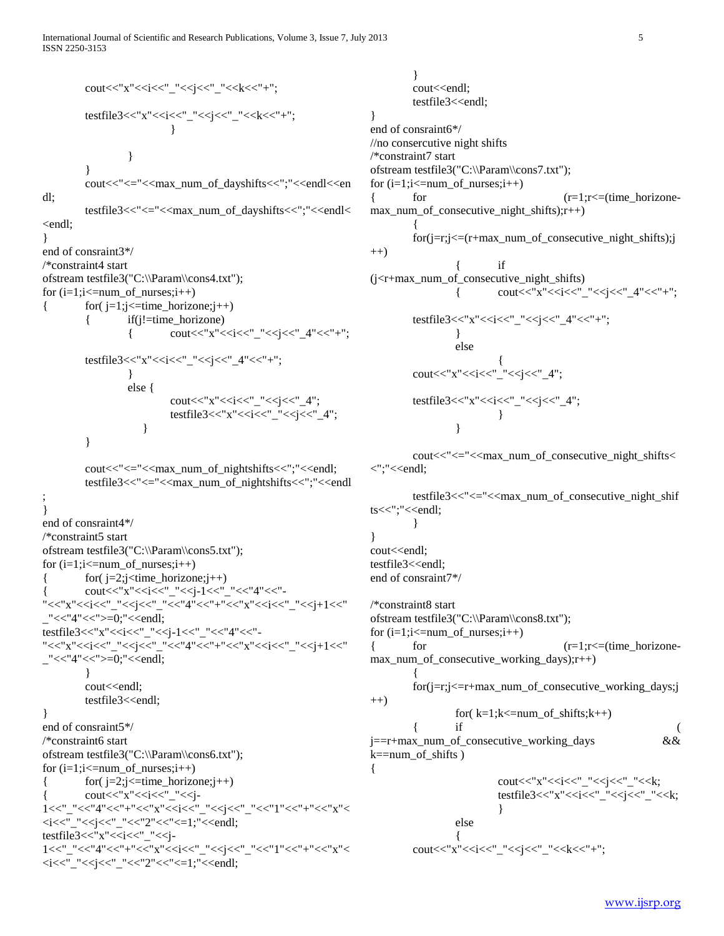International Journal of Scientific and Research Publications, Volume 3, Issue 7, July 2013 5 ISSN 2250-3153

```
cout<<"x"<<i<<"_"<<j<<"_"<<k<<"+";
         testfile3<<"x"<<i<<'_"<<<i<<'_"<<<i<</><<'_"<<<</><<<<<<'-'";
                             }
                   }
         }
         cout<<"<="<<max_num_of_dayshifts<<";"<<endl<<en
         testfile3<<"<="<<max_num_of_dayshifts<<";"<<endl<
<endl;
end of consraint3*/
/*constraint4 start
ofstream testfile3("C:\\Param\\cons4.txt");
for (i=1;i=num_of_nurses;i++){ f(x) = f(y) = f(z) for (j=1; j \leq t \text{ time\_horizon}e; j++)if (i!=time\,horizone){ cout << "x" << < i< <'' "<<< '' <' 4" << ''+";
```
dl;

}

testfile3<<"x"<<i<<i<<'\_"<<<i<<i><<i</><<i<i<i</><<i<i<i</><<i<i<i</ } else { cout<<"x"<<<i<<'\_"<<<i<<'\_4"; testfile3<<" $x"<"<<i<<" $4"$ ;$  } }

```
cout<<"<="<<max_num_of_nightshifts<<";"<<endl;
         testfile3<<"<="<<max_num_of_nightshifts<<";"<<endl
;
}
end of consraint4*/
/*constraint5 start
ofstream testfile3("C:\\Param\\cons5.txt");
for (i=1;i=num of nurses;i++){ for } (i=2; j < time\_horizone; j++)\mathrm{cout}<<"x"<<i<<"_"<<i-1<<''_"<<''4"<<''-
"<<<"x"<<i<<'_ "<<i<<''_"<<i<<''_"<<i<<''_"<<i<<''_"<<i<<''_"<<i'<<''_"<<i'<<''_"
_"<<"4"<<">=0;"<<endl;
testfile3<<"x"<<i<<'_"<<i</><<i><<i><<i<i<i</>-1<<'_"<<<''4"<<"-
"<<"x"<<i<<"_"<<j<<"_"<<"4"<<"+"<<"x"<<i<<"_"<<j+1<<"
_"<<"4"<<">=0;"<<endl;
         }
         cout<<endl;
         testfile3<<endl;
}
end of consraint5*/
/*constraint6 start
```
ofstream testfile3("C:\\Param\\cons6.txt"); for  $(i=1;i=num of$  nurses; $i++)$ {  $f(x) = 2$ ;  $\leq$  = time\_horizone;  $j$ ++)  $\text{cout}<< "x"<_"<<i-$ 1<<"\_"<<"4"<<"+"<<"x"<<i<<"\_"<<j<<"\_"<<"1"<<"+"<<"x"<  $\langle i \langle 1 \rangle$  <//>  $\langle -1 \rangle$   $\langle -1 \rangle$   $\langle -1 \rangle$   $\langle -1 \rangle$   $\langle -1 \rangle$   $\langle -1 \rangle$   $\langle -1 \rangle$   $\langle -1 \rangle$   $\langle -1 \rangle$   $\langle -1 \rangle$   $\langle -1 \rangle$   $\langle -1 \rangle$   $\langle -1 \rangle$   $\langle -1 \rangle$   $\langle -1 \rangle$   $\langle -1 \rangle$   $\langle -1 \rangle$   $\langle -1 \rangle$   $\langle -1 \rangle$   $\langle -1 \rangle$   $\langle -1 \rangle$   $\langle -1 \rangle$   $\langle -1 \$ testfile3<<"x"<<i<<'\_"<<j-1<<"\_"<<"4"<<"+"<<"+"<<"+"<<"+"<<"x"< <i<<"\_"<<j<<"\_"<<"2"<<"<=1;"<<endl;

} cout<<endl; testfile3<<endl; } end of consraint6\*/ //no consercutive night shifts /\*constraint7 start ofstream testfile3("C:\\Param\\cons7.txt"); for  $(i=1;i=num_of_nurses;i++)$ {  $for$   $(r=1); r \leq (time\_horizon$ max\_num\_of\_consecutive\_night\_shifts);r++) { for(j=r;j<=(r+max\_num\_of\_consecutive\_night\_shifts);j ++) { if (j<r+max\_num\_of\_consecutive\_night\_shifts)  ${\rm \bf count}<<{\rm \bf x}<<{\rm \bf x}<<{\rm \bf x}'-<{\rm \bf x}<<{\rm \bf x}'-<{\rm \bf x}<<{\rm \bf x}'-<{\rm \bf x}<<{\rm \bf x}'-{\rm \bf x}$ testfile3<<"x"<<i<<'' "<<i<<'' 4"<<''+"; } else

$$
cut<< "x"<\n
$$
testfile3<< "x"<\n
$$
\}
$$
$$
$$

{

cout<<"<="<<max\_num\_of\_consecutive\_night\_shifts< <";"<<endl;

testfile3 $<<$ " $<<$ max num of consecutive night shif ts<<";"<<endl;

} } cout<<endl; testfile3<<endl; end of consraint7\*/

/\*constraint8 start ofstream testfile3("C:\\Param\\cons8.txt"); for  $(i=1; i<=num_of_nurses; i++)$ { for  $(r=1); r \leq (time\ horizon)$ max\_num\_of\_consecutive\_working\_days);r++) { for(j=r;j<=r+max\_num\_of\_consecutive\_working\_days;j ++) for $(k=1;k\leq num_of_shifts;k++)$  $\{$  if  $($ j==r+max\_num\_of\_consecutive\_working\_days && k==num\_of\_shifts ) { cout<<"x"<<i<<'\_"<<i<<'\_"<<<i</><<i</> testfile3<<"x"<<i<<"\_"<<j<<"\_"<<k; } else { cout<<"x"<<i<<"\_"<<j<<"\_"<<k<<"+";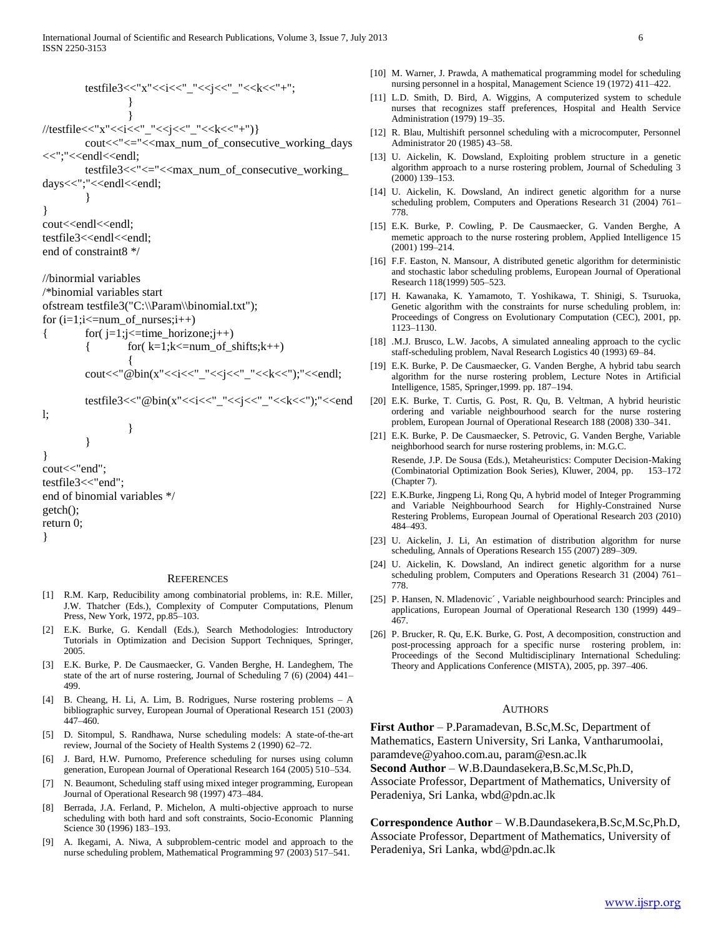testfile3<<"x"<<i<<"\_"<<j<<"\_"<<k<<"+"; } } //testfile<<"x"<<i<<"\_"<<j<<"\_"<<k<<"+")} cout<<"<="<<max\_num\_of\_consecutive\_working\_days <<";"<<endl<<endl; testfile3<<"<="<<max\_num\_of\_consecutive\_working\_ days<<";"<<endl<<endl; } } cout<<endl<<endl; testfile3<<endl<<endl; end of constraint8 \*/

//binormial variables /\*binomial variables start ofstream testfile3("C:\\Param\\binomial.txt"); for  $(i=1;i=num of$  nurses; $i++)$ {  $f(x) = \frac{1}{i}$ ;  $\leq f(x) = \frac{1}{i}$ 

$$
\begin{array}{l}\n\text{for } (j-1, j<-time\_nonzone, j++) \\
\{\n\text{for } (k=1; k<-num\_of\_shifts; k++)\n\} \\\n\text{cout} <<"\n\text{@bin}(x" << i < \text{``} < \text{``} < < k < \text{''})\n\end{array}
$$

testfile3<<"@bin(x"<<i<<"\_"<<j<<"\_"<<k<<");"<<end

l;

```
}
}
cout<<"end";
testfile3<<"end";
end of binomial variables */
getch();
return 0;
}
```
}

#### **REFERENCES**

- [1] R.M. Karp, Reducibility among combinatorial problems, in: R.E. Miller, J.W. Thatcher (Eds.), Complexity of Computer Computations, Plenum Press, New York, 1972, pp.85–103.
- [2] E.K. Burke, G. Kendall (Eds.), Search Methodologies: Introductory Tutorials in Optimization and Decision Support Techniques, Springer, 2005.
- [3] E.K. Burke, P. De Causmaecker, G. Vanden Berghe, H. Landeghem, The state of the art of nurse rostering, Journal of Scheduling 7 (6) (2004) 441– 499.
- [4] B. Cheang, H. Li, A. Lim, B. Rodrigues, Nurse rostering problems A bibliographic survey, European Journal of Operational Research 151 (2003) 447–460.
- [5] D. Sitompul, S. Randhawa, Nurse scheduling models: A state-of-the-art review, Journal of the Society of Health Systems 2 (1990) 62–72.
- [6] J. Bard, H.W. Purnomo, Preference scheduling for nurses using column generation, European Journal of Operational Research 164 (2005) 510–534.
- [7] N. Beaumont, Scheduling staff using mixed integer programming, European Journal of Operational Research 98 (1997) 473–484.
- [8] Berrada, J.A. Ferland, P. Michelon, A multi-objective approach to nurse scheduling with both hard and soft constraints, Socio-Economic Planning Science 30 (1996) 183–193.
- [9] A. Ikegami, A. Niwa, A subproblem-centric model and approach to the nurse scheduling problem, Mathematical Programming 97 (2003) 517–541.
- [10] M. Warner, J. Prawda, A mathematical programming model for scheduling nursing personnel in a hospital, Management Science 19 (1972) 411–422.
- [11] L.D. Smith, D. Bird, A. Wiggins, A computerized system to schedule nurses that recognizes staff preferences, Hospital and Health Service Administration (1979) 19–35.
- [12] R. Blau, Multishift personnel scheduling with a microcomputer, Personnel Administrator 20 (1985) 43–58.
- [13] U. Aickelin, K. Dowsland, Exploiting problem structure in a genetic algorithm approach to a nurse rostering problem, Journal of Scheduling 3 (2000) 139–153.
- [14] U. Aickelin, K. Dowsland, An indirect genetic algorithm for a nurse scheduling problem, Computers and Operations Research 31 (2004) 761– 778.
- [15] E.K. Burke, P. Cowling, P. De Causmaecker, G. Vanden Berghe, A memetic approach to the nurse rostering problem, Applied Intelligence 15 (2001) 199–214.
- [16] F.F. Easton, N. Mansour, A distributed genetic algorithm for deterministic and stochastic labor scheduling problems, European Journal of Operational Research 118(1999) 505–523.
- [17] H. Kawanaka, K. Yamamoto, T. Yoshikawa, T. Shinigi, S. Tsuruoka, Genetic algorithm with the constraints for nurse scheduling problem, in: Proceedings of Congress on Evolutionary Computation (CEC), 2001, pp. 1123–1130.
- [18] .M.J. Brusco, L.W. Jacobs, A simulated annealing approach to the cyclic staff-scheduling problem, Naval Research Logistics 40 (1993) 69–84.
- [19] E.K. Burke, P. De Causmaecker, G. Vanden Berghe, A hybrid tabu search algorithm for the nurse rostering problem, Lecture Notes in Artificial Intelligence, 1585, Springer,1999. pp. 187–194.
- [20] E.K. Burke, T. Curtis, G. Post, R. Qu, B. Veltman, A hybrid heuristic ordering and variable neighbourhood search for the nurse rostering problem, European Journal of Operational Research 188 (2008) 330–341.
- [21] E.K. Burke, P. De Causmaecker, S. Petrovic, G. Vanden Berghe, Variable neighborhood search for nurse rostering problems, in: M.G.C. Resende, J.P. De Sousa (Eds.), Metaheuristics: Computer Decision-Making (Combinatorial Optimization Book Series), Kluwer, 2004, pp. 153–172 (Chapter 7).
- [22] E.K.Burke, Jingpeng Li, Rong Qu, A hybrid model of Integer Programming and Variable Neighbourhood Search for Highly-Constrained Nurse Restering Problems, European Journal of Operational Research 203 (2010) 484–493.
- [23] U. Aickelin, J. Li, An estimation of distribution algorithm for nurse scheduling, Annals of Operations Research 155 (2007) 289–309.
- [24] U. Aickelin, K. Dowsland, An indirect genetic algorithm for a nurse scheduling problem, Computers and Operations Research 31 (2004) 761– 778.
- [25] P. Hansen, N. Mladenovic´ , Variable neighbourhood search: Principles and applications, European Journal of Operational Research 130 (1999) 449– 467.
- [26] P. Brucker, R. Qu, E.K. Burke, G. Post, A decomposition, construction and post-processing approach for a specific nurse rostering problem, in: Proceedings of the Second Multidisciplinary International Scheduling: Theory and Applications Conference (MISTA), 2005, pp. 397–406.

# **AUTHORS**

**First Author** – P.Paramadevan, B.Sc,M.Sc, Department of Mathematics, Eastern University, Sri Lanka, Vantharumoolai, paramdeve@yahoo.com.au, param@esn.ac.lk **Second Author** – W.B.Daundasekera,B.Sc,M.Sc,Ph.D,

Associate Professor, Department of Mathematics, University of Peradeniya, Sri Lanka, wbd@pdn.ac.lk

**Correspondence Author** – W.B.Daundasekera,B.Sc,M.Sc,Ph.D, Associate Professor, Department of Mathematics, University of Peradeniya, Sri Lanka, wbd@pdn.ac.lk